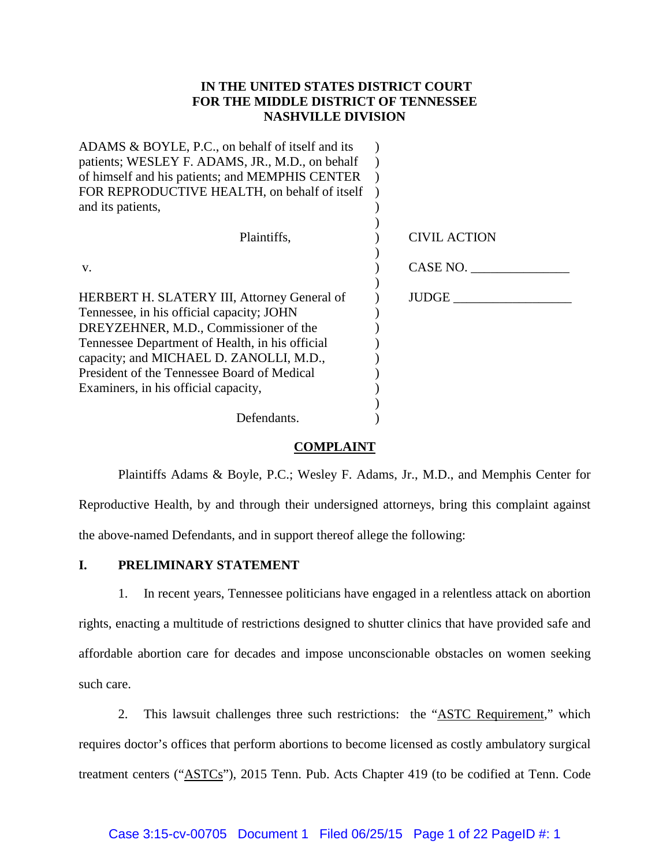## **IN THE UNITED STATES DISTRICT COURT FOR THE MIDDLE DISTRICT OF TENNESSEE NASHVILLE DIVISION**

| ADAMS & BOYLE, P.C., on behalf of itself and its   |              |
|----------------------------------------------------|--------------|
| patients; WESLEY F. ADAMS, JR., M.D., on behalf    |              |
| of himself and his patients; and MEMPHIS CENTER    |              |
| FOR REPRODUCTIVE HEALTH, on behalf of itself       |              |
| and its patients,                                  |              |
|                                                    |              |
| Plaintiffs,                                        | CIVIL ACTION |
| V.                                                 | CASE NO.     |
|                                                    |              |
| <b>HERBERT H. SLATERY III, Attorney General of</b> | JUDGE        |
| Tennessee, in his official capacity; JOHN          |              |
| DREYZEHNER, M.D., Commissioner of the              |              |
| Tennessee Department of Health, in his official    |              |
| capacity; and MICHAEL D. ZANOLLI, M.D.,            |              |
| President of the Tennessee Board of Medical        |              |
|                                                    |              |
| Examiners, in his official capacity,               |              |
|                                                    |              |
| Defendants.                                        |              |
|                                                    |              |

### **COMPLAINT**

Plaintiffs Adams & Boyle, P.C.; Wesley F. Adams, Jr., M.D., and Memphis Center for Reproductive Health, by and through their undersigned attorneys, bring this complaint against the above-named Defendants, and in support thereof allege the following:

## **I. PRELIMINARY STATEMENT**

1. In recent years, Tennessee politicians have engaged in a relentless attack on abortion rights, enacting a multitude of restrictions designed to shutter clinics that have provided safe and affordable abortion care for decades and impose unconscionable obstacles on women seeking such care.

2. This lawsuit challenges three such restrictions: the "ASTC Requirement," which requires doctor's offices that perform abortions to become licensed as costly ambulatory surgical treatment centers ("ASTCs"), 2015 Tenn. Pub. Acts Chapter 419 (to be codified at Tenn. Code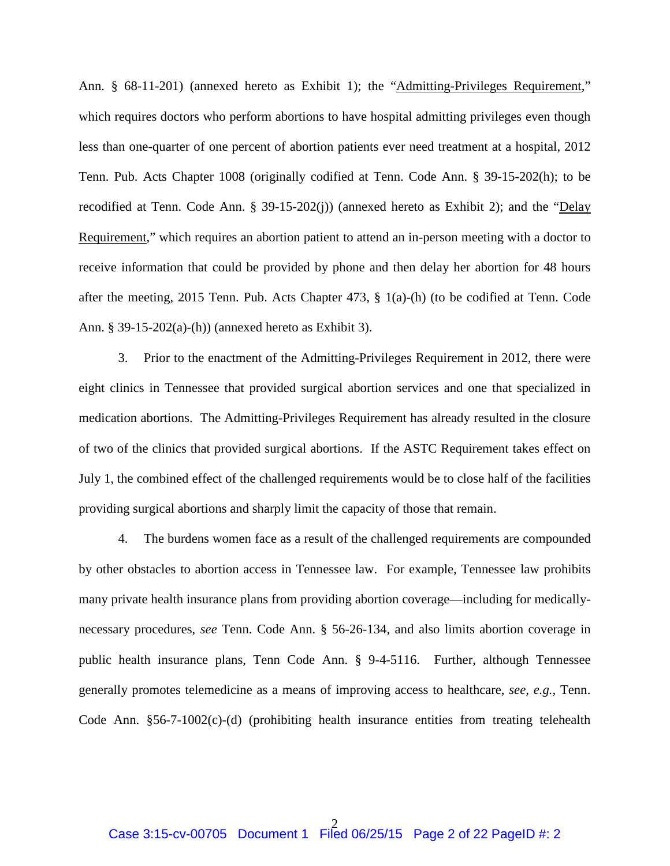Ann. § 68-11-201) (annexed hereto as Exhibit 1); the "Admitting-Privileges Requirement," which requires doctors who perform abortions to have hospital admitting privileges even though less than one-quarter of one percent of abortion patients ever need treatment at a hospital, 2012 Tenn. Pub. Acts Chapter 1008 (originally codified at Tenn. Code Ann. § 39-15-202(h); to be recodified at Tenn. Code Ann. § 39-15-202(j)) (annexed hereto as Exhibit 2); and the "Delay Requirement," which requires an abortion patient to attend an in-person meeting with a doctor to receive information that could be provided by phone and then delay her abortion for 48 hours after the meeting, 2015 Tenn. Pub. Acts Chapter 473, § 1(a)-(h) (to be codified at Tenn. Code Ann. § 39-15-202(a)-(h)) (annexed hereto as Exhibit 3).

3. Prior to the enactment of the Admitting-Privileges Requirement in 2012, there were eight clinics in Tennessee that provided surgical abortion services and one that specialized in medication abortions. The Admitting-Privileges Requirement has already resulted in the closure of two of the clinics that provided surgical abortions. If the ASTC Requirement takes effect on July 1, the combined effect of the challenged requirements would be to close half of the facilities providing surgical abortions and sharply limit the capacity of those that remain.

4. The burdens women face as a result of the challenged requirements are compounded by other obstacles to abortion access in Tennessee law. For example, Tennessee law prohibits many private health insurance plans from providing abortion coverage—including for medicallynecessary procedures, *see* Tenn. Code Ann. § 56-26-134, and also limits abortion coverage in public health insurance plans, Tenn Code Ann. § 9-4-5116. Further, although Tennessee generally promotes telemedicine as a means of improving access to healthcare, *see, e.g.,* Tenn. Code Ann. §56-7-1002(c)-(d) (prohibiting health insurance entities from treating telehealth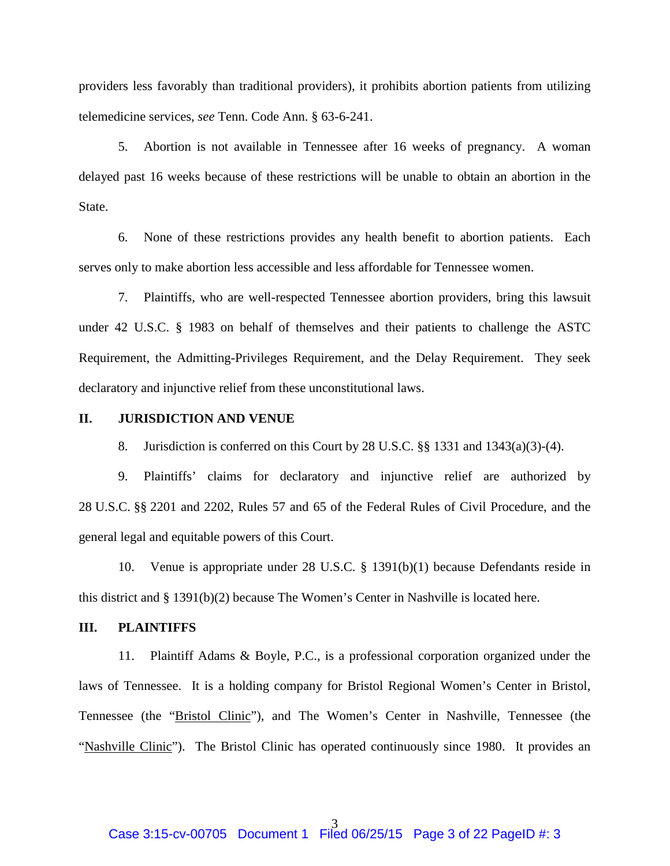providers less favorably than traditional providers), it prohibits abortion patients from utilizing telemedicine services, *see* Tenn. Code Ann. § 63-6-241.

5. Abortion is not available in Tennessee after 16 weeks of pregnancy. A woman delayed past 16 weeks because of these restrictions will be unable to obtain an abortion in the State.

6. None of these restrictions provides any health benefit to abortion patients. Each serves only to make abortion less accessible and less affordable for Tennessee women.

7. Plaintiffs, who are well-respected Tennessee abortion providers, bring this lawsuit under 42 U.S.C. § 1983 on behalf of themselves and their patients to challenge the ASTC Requirement, the Admitting-Privileges Requirement, and the Delay Requirement. They seek declaratory and injunctive relief from these unconstitutional laws.

### **II. JURISDICTION AND VENUE**

8. Jurisdiction is conferred on this Court by 28 U.S.C. §§ 1331 and 1343(a)(3)-(4).

9. Plaintiffs' claims for declaratory and injunctive relief are authorized by 28 U.S.C. §§ 2201 and 2202, Rules 57 and 65 of the Federal Rules of Civil Procedure, and the general legal and equitable powers of this Court.

10. Venue is appropriate under 28 U.S.C. § 1391(b)(1) because Defendants reside in this district and § 1391(b)(2) because The Women's Center in Nashville is located here.

## **III. PLAINTIFFS**

11. Plaintiff Adams & Boyle, P.C., is a professional corporation organized under the laws of Tennessee. It is a holding company for Bristol Regional Women's Center in Bristol, Tennessee (the "Bristol Clinic"), and The Women's Center in Nashville, Tennessee (the "Nashville Clinic"). The Bristol Clinic has operated continuously since 1980. It provides an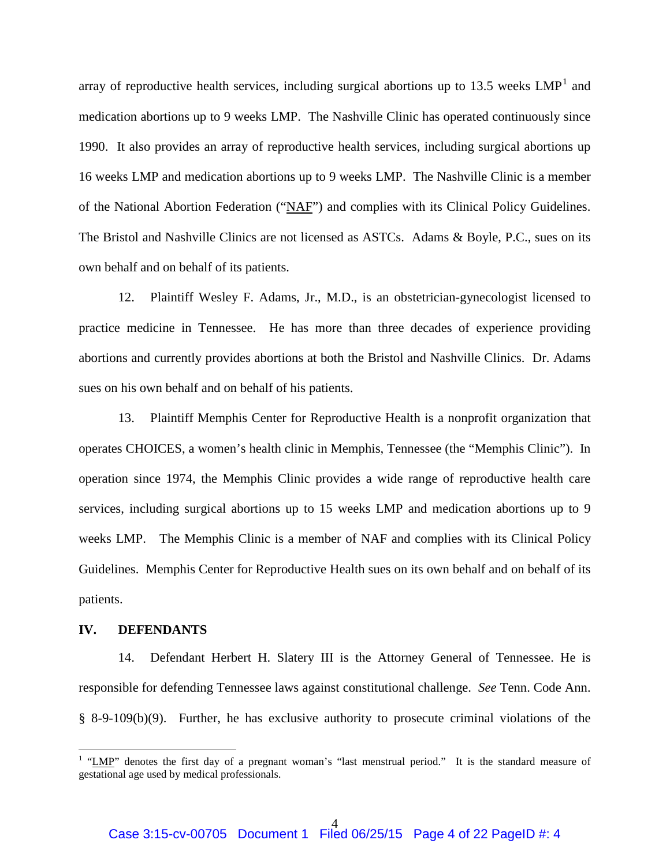array of reproductive health services, including surgical abortions up to [1](#page-3-0)3.5 weeks  $LMP<sup>1</sup>$  and medication abortions up to 9 weeks LMP. The Nashville Clinic has operated continuously since 1990. It also provides an array of reproductive health services, including surgical abortions up 16 weeks LMP and medication abortions up to 9 weeks LMP. The Nashville Clinic is a member of the National Abortion Federation ("NAF") and complies with its Clinical Policy Guidelines. The Bristol and Nashville Clinics are not licensed as ASTCs. Adams & Boyle, P.C., sues on its own behalf and on behalf of its patients.

12. Plaintiff Wesley F. Adams, Jr., M.D., is an obstetrician-gynecologist licensed to practice medicine in Tennessee. He has more than three decades of experience providing abortions and currently provides abortions at both the Bristol and Nashville Clinics. Dr. Adams sues on his own behalf and on behalf of his patients.

13. Plaintiff Memphis Center for Reproductive Health is a nonprofit organization that operates CHOICES, a women's health clinic in Memphis, Tennessee (the "Memphis Clinic"). In operation since 1974, the Memphis Clinic provides a wide range of reproductive health care services, including surgical abortions up to 15 weeks LMP and medication abortions up to 9 weeks LMP. The Memphis Clinic is a member of NAF and complies with its Clinical Policy Guidelines. Memphis Center for Reproductive Health sues on its own behalf and on behalf of its patients.

#### **IV. DEFENDANTS**

14. Defendant Herbert H. Slatery III is the Attorney General of Tennessee. He is responsible for defending Tennessee laws against constitutional challenge. *See* Tenn. Code Ann. § 8-9-109(b)(9). Further, he has exclusive authority to prosecute criminal violations of the

<span id="page-3-0"></span><sup>&</sup>lt;sup>1</sup> "LMP" denotes the first day of a pregnant woman's "last menstrual period." It is the standard measure of gestational age used by medical professionals.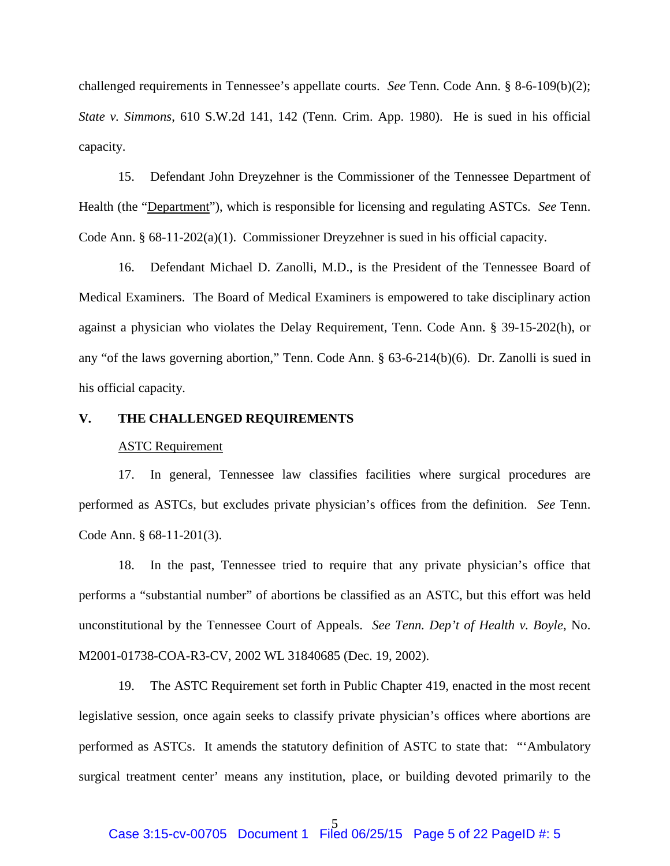challenged requirements in Tennessee's appellate courts. *See* Tenn. Code Ann. § 8-6-109(b)(2); *State v. Simmons*, 610 S.W.2d 141, 142 (Tenn. Crim. App. 1980). He is sued in his official capacity.

15. Defendant John Dreyzehner is the Commissioner of the Tennessee Department of Health (the "Department"), which is responsible for licensing and regulating ASTCs. *See* Tenn. Code Ann. § 68-11-202(a)(1). Commissioner Dreyzehner is sued in his official capacity.

16. Defendant Michael D. Zanolli, M.D., is the President of the Tennessee Board of Medical Examiners. The Board of Medical Examiners is empowered to take disciplinary action against a physician who violates the Delay Requirement, Tenn. Code Ann. § 39-15-202(h), or any "of the laws governing abortion," Tenn. Code Ann. § 63-6-214(b)(6). Dr. Zanolli is sued in his official capacity.

### **V. THE CHALLENGED REQUIREMENTS**

### ASTC Requirement

17. In general, Tennessee law classifies facilities where surgical procedures are performed as ASTCs, but excludes private physician's offices from the definition. *See* Tenn. Code Ann. § 68-11-201(3).

18. In the past, Tennessee tried to require that any private physician's office that performs a "substantial number" of abortions be classified as an ASTC, but this effort was held unconstitutional by the Tennessee Court of Appeals. *See Tenn. Dep't of Health v. Boyle*, No. M2001-01738-COA-R3-CV, 2002 WL 31840685 (Dec. 19, 2002).

19. The ASTC Requirement set forth in Public Chapter 419, enacted in the most recent legislative session, once again seeks to classify private physician's offices where abortions are performed as ASTCs. It amends the statutory definition of ASTC to state that: "'Ambulatory surgical treatment center' means any institution, place, or building devoted primarily to the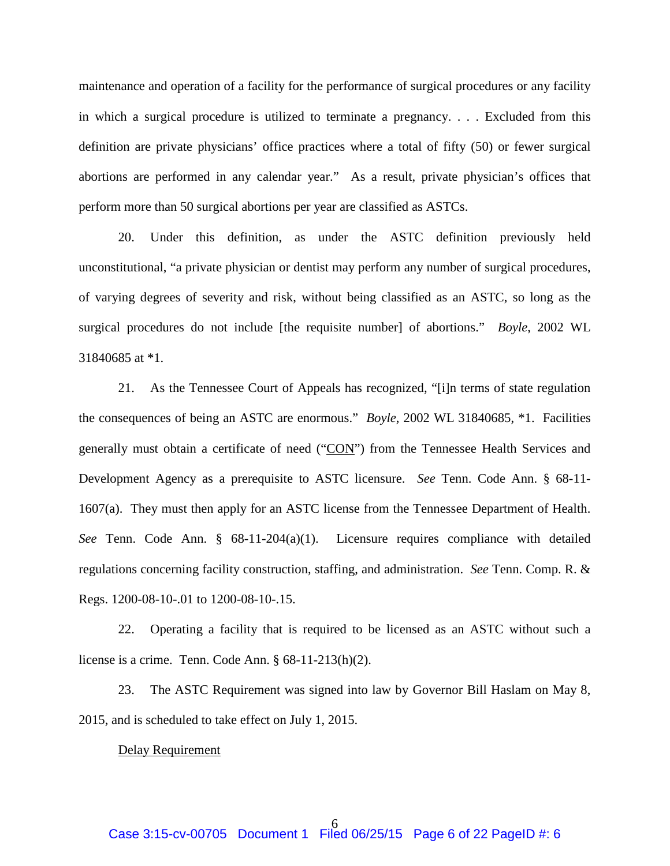maintenance and operation of a facility for the performance of surgical procedures or any facility in which a surgical procedure is utilized to terminate a pregnancy. . . . Excluded from this definition are private physicians' office practices where a total of fifty (50) or fewer surgical abortions are performed in any calendar year." As a result, private physician's offices that perform more than 50 surgical abortions per year are classified as ASTCs.

20. Under this definition, as under the ASTC definition previously held unconstitutional, "a private physician or dentist may perform any number of surgical procedures, of varying degrees of severity and risk, without being classified as an ASTC, so long as the surgical procedures do not include [the requisite number] of abortions." *Boyle*, 2002 WL 31840685 at \*1.

21. As the Tennessee Court of Appeals has recognized, "[i]n terms of state regulation the consequences of being an ASTC are enormous." *Boyle*, 2002 WL 31840685, \*1. Facilities generally must obtain a certificate of need ("CON") from the Tennessee Health Services and Development Agency as a prerequisite to ASTC licensure. *See* Tenn. Code Ann. § 68-11- 1607(a). They must then apply for an ASTC license from the Tennessee Department of Health. *See* Tenn. Code Ann. § 68-11-204(a)(1). Licensure requires compliance with detailed regulations concerning facility construction, staffing, and administration. *See* Tenn. Comp. R. & Regs. 1200-08-10-.01 to 1200-08-10-.15.

22. Operating a facility that is required to be licensed as an ASTC without such a license is a crime. Tenn. Code Ann. § 68-11-213(h)(2).

23. The ASTC Requirement was signed into law by Governor Bill Haslam on May 8, 2015, and is scheduled to take effect on July 1, 2015.

#### Delay Requirement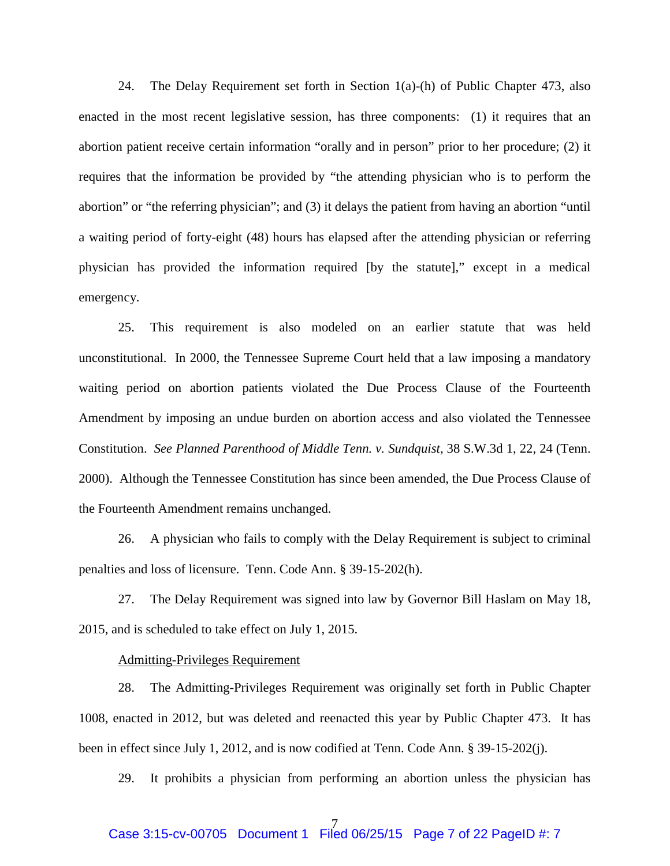24. The Delay Requirement set forth in Section 1(a)-(h) of Public Chapter 473, also enacted in the most recent legislative session, has three components: (1) it requires that an abortion patient receive certain information "orally and in person" prior to her procedure; (2) it requires that the information be provided by "the attending physician who is to perform the abortion" or "the referring physician"; and (3) it delays the patient from having an abortion "until a waiting period of forty-eight (48) hours has elapsed after the attending physician or referring physician has provided the information required [by the statute]," except in a medical emergency.

25. This requirement is also modeled on an earlier statute that was held unconstitutional. In 2000, the Tennessee Supreme Court held that a law imposing a mandatory waiting period on abortion patients violated the Due Process Clause of the Fourteenth Amendment by imposing an undue burden on abortion access and also violated the Tennessee Constitution. *See Planned Parenthood of Middle Tenn. v. Sundquist*, 38 S.W.3d 1, 22, 24 (Tenn. 2000). Although the Tennessee Constitution has since been amended, the Due Process Clause of the Fourteenth Amendment remains unchanged.

26. A physician who fails to comply with the Delay Requirement is subject to criminal penalties and loss of licensure. Tenn. Code Ann. § 39-15-202(h).

27. The Delay Requirement was signed into law by Governor Bill Haslam on May 18, 2015, and is scheduled to take effect on July 1, 2015.

### Admitting-Privileges Requirement

28. The Admitting-Privileges Requirement was originally set forth in Public Chapter 1008, enacted in 2012, but was deleted and reenacted this year by Public Chapter 473. It has been in effect since July 1, 2012, and is now codified at Tenn. Code Ann. § 39-15-202(j).

29. It prohibits a physician from performing an abortion unless the physician has

#### 7 Case 3:15-cv-00705 Document 1 Filed 06/25/15 Page 7 of 22 PageID #: 7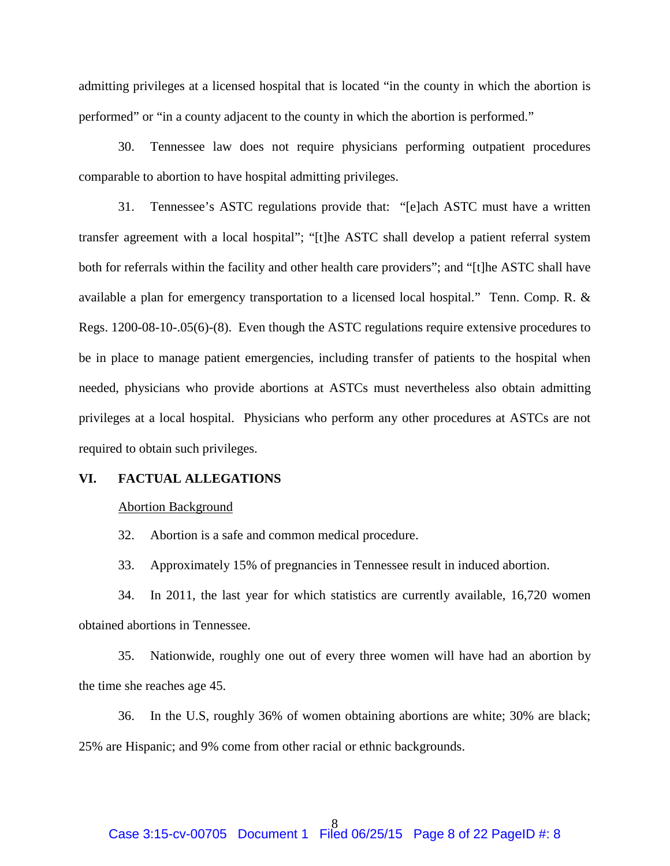admitting privileges at a licensed hospital that is located "in the county in which the abortion is performed" or "in a county adjacent to the county in which the abortion is performed."

30. Tennessee law does not require physicians performing outpatient procedures comparable to abortion to have hospital admitting privileges.

31. Tennessee's ASTC regulations provide that: "[e]ach ASTC must have a written transfer agreement with a local hospital"; "[t]he ASTC shall develop a patient referral system both for referrals within the facility and other health care providers"; and "[t]he ASTC shall have available a plan for emergency transportation to a licensed local hospital." Tenn. Comp. R. & Regs. 1200-08-10-.05(6)-(8). Even though the ASTC regulations require extensive procedures to be in place to manage patient emergencies, including transfer of patients to the hospital when needed, physicians who provide abortions at ASTCs must nevertheless also obtain admitting privileges at a local hospital. Physicians who perform any other procedures at ASTCs are not required to obtain such privileges.

### **VI. FACTUAL ALLEGATIONS**

#### Abortion Background

32. Abortion is a safe and common medical procedure.

33. Approximately 15% of pregnancies in Tennessee result in induced abortion.

34. In 2011, the last year for which statistics are currently available, 16,720 women obtained abortions in Tennessee.

35. Nationwide, roughly one out of every three women will have had an abortion by the time she reaches age 45.

36. In the U.S, roughly 36% of women obtaining abortions are white; 30% are black; 25% are Hispanic; and 9% come from other racial or ethnic backgrounds.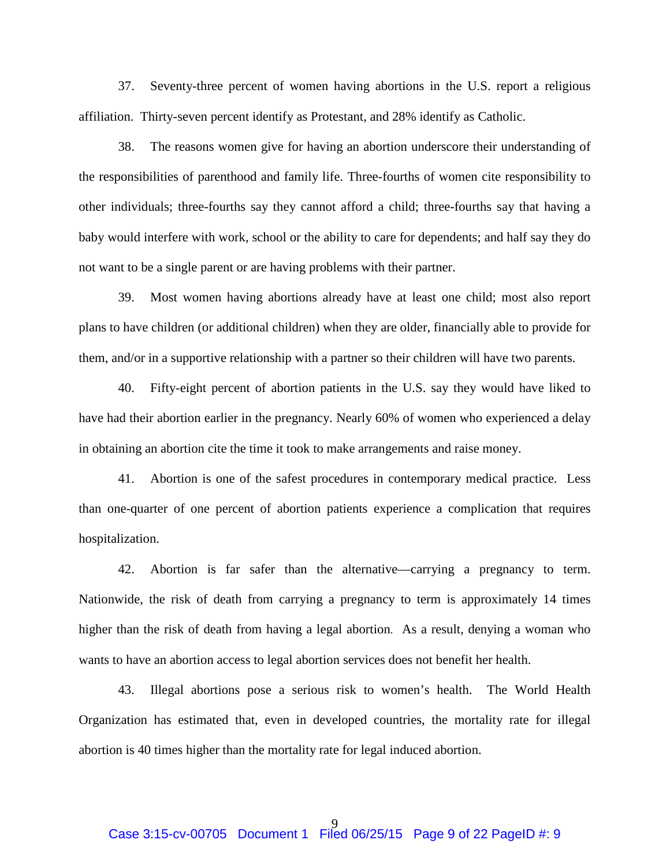37. Seventy-three percent of women having abortions in the U.S. report a religious affiliation. Thirty-seven percent identify as Protestant, and 28% identify as Catholic.

38. The reasons women give for having an abortion underscore their understanding of the responsibilities of parenthood and family life. Three-fourths of women cite responsibility to other individuals; three-fourths say they cannot afford a child; three-fourths say that having a baby would interfere with work, school or the ability to care for dependents; and half say they do not want to be a single parent or are having problems with their partner.

39. Most women having abortions already have at least one child; most also report plans to have children (or additional children) when they are older, financially able to provide for them, and/or in a supportive relationship with a partner so their children will have two parents.

40. Fifty-eight percent of abortion patients in the U.S. say they would have liked to have had their abortion earlier in the pregnancy. Nearly 60% of women who experienced a delay in obtaining an abortion cite the time it took to make arrangements and raise money.

41. Abortion is one of the safest procedures in contemporary medical practice. Less than one-quarter of one percent of abortion patients experience a complication that requires hospitalization.

42. Abortion is far safer than the alternative—carrying a pregnancy to term. Nationwide, the risk of death from carrying a pregnancy to term is approximately 14 times higher than the risk of death from having a legal abortion. As a result, denying a woman who wants to have an abortion access to legal abortion services does not benefit her health.

43. Illegal abortions pose a serious risk to women's health. The World Health Organization has estimated that, even in developed countries, the mortality rate for illegal abortion is 40 times higher than the mortality rate for legal induced abortion.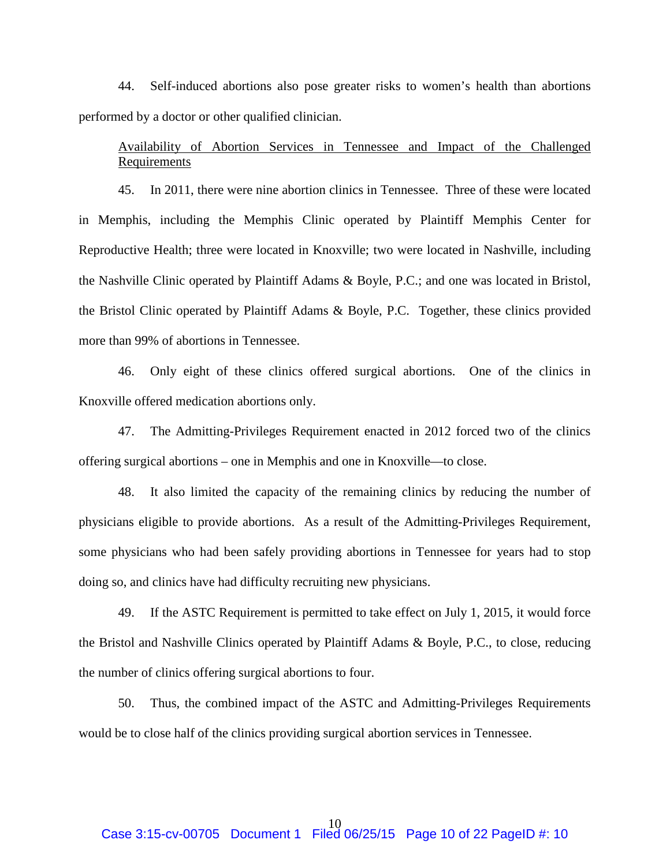44. Self-induced abortions also pose greater risks to women's health than abortions performed by a doctor or other qualified clinician.

# Availability of Abortion Services in Tennessee and Impact of the Challenged Requirements

45. In 2011, there were nine abortion clinics in Tennessee. Three of these were located in Memphis, including the Memphis Clinic operated by Plaintiff Memphis Center for Reproductive Health; three were located in Knoxville; two were located in Nashville, including the Nashville Clinic operated by Plaintiff Adams & Boyle, P.C.; and one was located in Bristol, the Bristol Clinic operated by Plaintiff Adams & Boyle, P.C. Together, these clinics provided more than 99% of abortions in Tennessee.

46. Only eight of these clinics offered surgical abortions. One of the clinics in Knoxville offered medication abortions only.

47. The Admitting-Privileges Requirement enacted in 2012 forced two of the clinics offering surgical abortions – one in Memphis and one in Knoxville—to close.

48. It also limited the capacity of the remaining clinics by reducing the number of physicians eligible to provide abortions. As a result of the Admitting-Privileges Requirement, some physicians who had been safely providing abortions in Tennessee for years had to stop doing so, and clinics have had difficulty recruiting new physicians.

49. If the ASTC Requirement is permitted to take effect on July 1, 2015, it would force the Bristol and Nashville Clinics operated by Plaintiff Adams & Boyle, P.C., to close, reducing the number of clinics offering surgical abortions to four.

50. Thus, the combined impact of the ASTC and Admitting-Privileges Requirements would be to close half of the clinics providing surgical abortion services in Tennessee.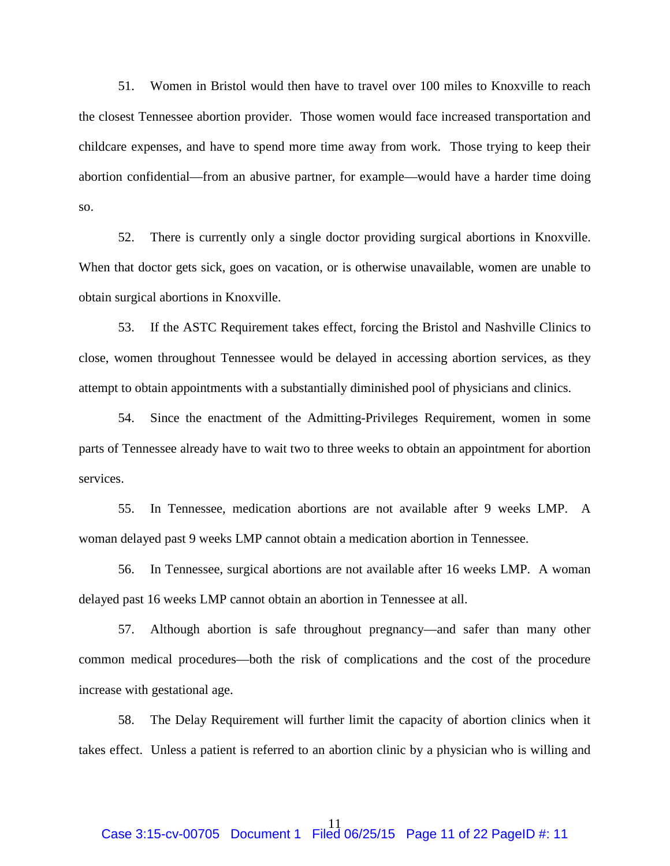51. Women in Bristol would then have to travel over 100 miles to Knoxville to reach the closest Tennessee abortion provider. Those women would face increased transportation and childcare expenses, and have to spend more time away from work. Those trying to keep their abortion confidential—from an abusive partner, for example—would have a harder time doing so.

52. There is currently only a single doctor providing surgical abortions in Knoxville. When that doctor gets sick, goes on vacation, or is otherwise unavailable, women are unable to obtain surgical abortions in Knoxville.

53. If the ASTC Requirement takes effect, forcing the Bristol and Nashville Clinics to close, women throughout Tennessee would be delayed in accessing abortion services, as they attempt to obtain appointments with a substantially diminished pool of physicians and clinics.

54. Since the enactment of the Admitting-Privileges Requirement, women in some parts of Tennessee already have to wait two to three weeks to obtain an appointment for abortion services.

55. In Tennessee, medication abortions are not available after 9 weeks LMP. A woman delayed past 9 weeks LMP cannot obtain a medication abortion in Tennessee.

56. In Tennessee, surgical abortions are not available after 16 weeks LMP. A woman delayed past 16 weeks LMP cannot obtain an abortion in Tennessee at all.

57. Although abortion is safe throughout pregnancy—and safer than many other common medical procedures—both the risk of complications and the cost of the procedure increase with gestational age.

58. The Delay Requirement will further limit the capacity of abortion clinics when it takes effect. Unless a patient is referred to an abortion clinic by a physician who is willing and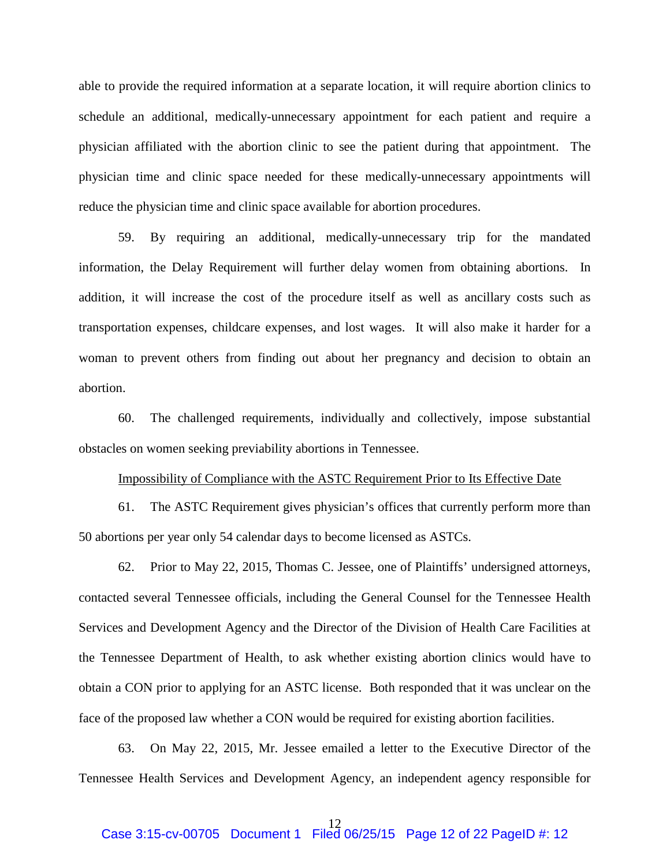able to provide the required information at a separate location, it will require abortion clinics to schedule an additional, medically-unnecessary appointment for each patient and require a physician affiliated with the abortion clinic to see the patient during that appointment. The physician time and clinic space needed for these medically-unnecessary appointments will reduce the physician time and clinic space available for abortion procedures.

59. By requiring an additional, medically-unnecessary trip for the mandated information, the Delay Requirement will further delay women from obtaining abortions. In addition, it will increase the cost of the procedure itself as well as ancillary costs such as transportation expenses, childcare expenses, and lost wages. It will also make it harder for a woman to prevent others from finding out about her pregnancy and decision to obtain an abortion.

60. The challenged requirements, individually and collectively, impose substantial obstacles on women seeking previability abortions in Tennessee.

### Impossibility of Compliance with the ASTC Requirement Prior to Its Effective Date

61. The ASTC Requirement gives physician's offices that currently perform more than 50 abortions per year only 54 calendar days to become licensed as ASTCs.

62. Prior to May 22, 2015, Thomas C. Jessee, one of Plaintiffs' undersigned attorneys, contacted several Tennessee officials, including the General Counsel for the Tennessee Health Services and Development Agency and the Director of the Division of Health Care Facilities at the Tennessee Department of Health, to ask whether existing abortion clinics would have to obtain a CON prior to applying for an ASTC license. Both responded that it was unclear on the face of the proposed law whether a CON would be required for existing abortion facilities.

63. On May 22, 2015, Mr. Jessee emailed a letter to the Executive Director of the Tennessee Health Services and Development Agency, an independent agency responsible for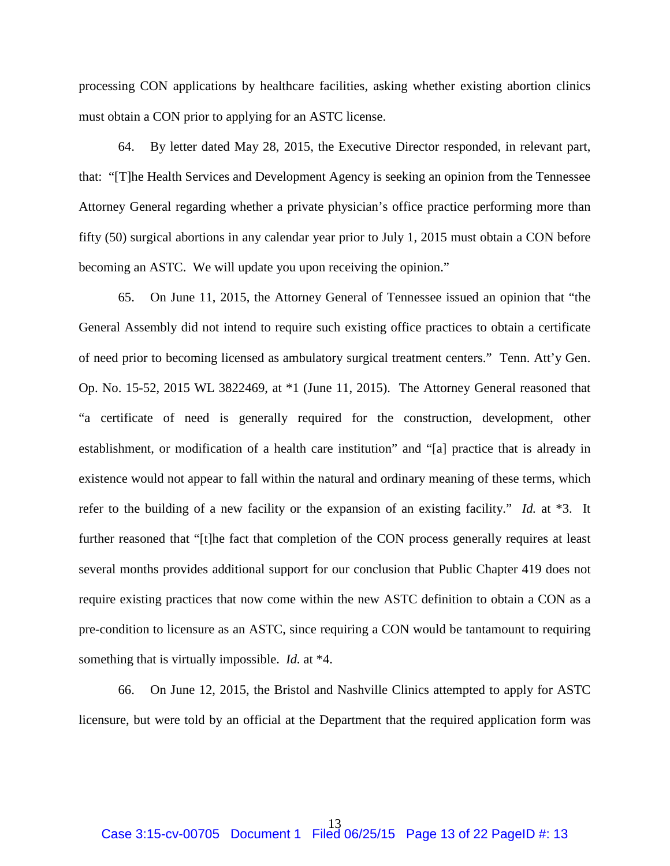processing CON applications by healthcare facilities, asking whether existing abortion clinics must obtain a CON prior to applying for an ASTC license.

64. By letter dated May 28, 2015, the Executive Director responded, in relevant part, that: "[T]he Health Services and Development Agency is seeking an opinion from the Tennessee Attorney General regarding whether a private physician's office practice performing more than fifty (50) surgical abortions in any calendar year prior to July 1, 2015 must obtain a CON before becoming an ASTC. We will update you upon receiving the opinion."

65. On June 11, 2015, the Attorney General of Tennessee issued an opinion that "the General Assembly did not intend to require such existing office practices to obtain a certificate of need prior to becoming licensed as ambulatory surgical treatment centers." Tenn. Att'y Gen. Op. No. 15-52, 2015 WL 3822469, at \*1 (June 11, 2015). The Attorney General reasoned that "a certificate of need is generally required for the construction, development, other establishment, or modification of a health care institution" and "[a] practice that is already in existence would not appear to fall within the natural and ordinary meaning of these terms, which refer to the building of a new facility or the expansion of an existing facility." *Id.* at \*3. It further reasoned that "[t]he fact that completion of the CON process generally requires at least several months provides additional support for our conclusion that Public Chapter 419 does not require existing practices that now come within the new ASTC definition to obtain a CON as a pre-condition to licensure as an ASTC, since requiring a CON would be tantamount to requiring something that is virtually impossible. *Id.* at \*4.

66. On June 12, 2015, the Bristol and Nashville Clinics attempted to apply for ASTC licensure, but were told by an official at the Department that the required application form was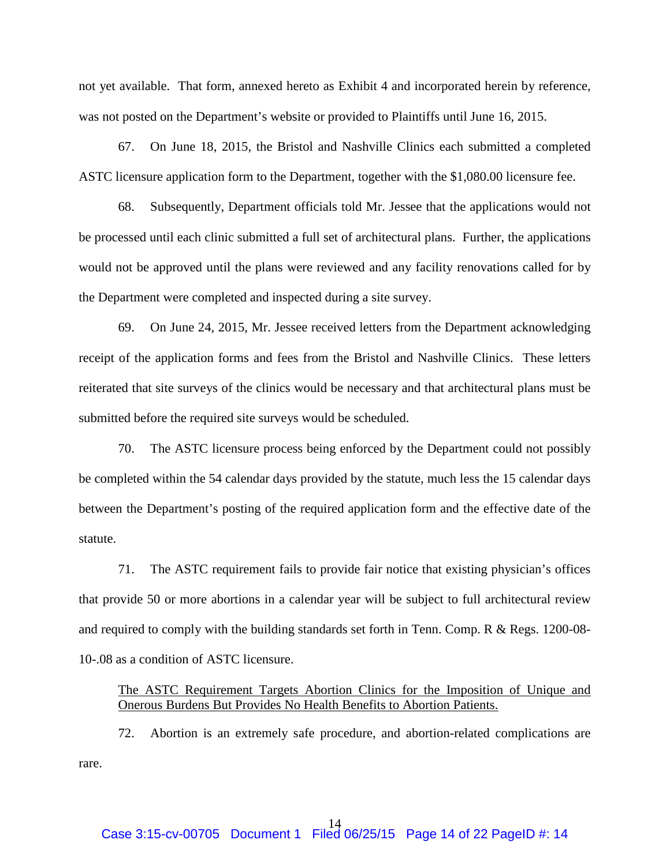not yet available. That form, annexed hereto as Exhibit 4 and incorporated herein by reference, was not posted on the Department's website or provided to Plaintiffs until June 16, 2015.

67. On June 18, 2015, the Bristol and Nashville Clinics each submitted a completed ASTC licensure application form to the Department, together with the \$1,080.00 licensure fee.

68. Subsequently, Department officials told Mr. Jessee that the applications would not be processed until each clinic submitted a full set of architectural plans. Further, the applications would not be approved until the plans were reviewed and any facility renovations called for by the Department were completed and inspected during a site survey.

69. On June 24, 2015, Mr. Jessee received letters from the Department acknowledging receipt of the application forms and fees from the Bristol and Nashville Clinics. These letters reiterated that site surveys of the clinics would be necessary and that architectural plans must be submitted before the required site surveys would be scheduled.

70. The ASTC licensure process being enforced by the Department could not possibly be completed within the 54 calendar days provided by the statute, much less the 15 calendar days between the Department's posting of the required application form and the effective date of the statute.

71. The ASTC requirement fails to provide fair notice that existing physician's offices that provide 50 or more abortions in a calendar year will be subject to full architectural review and required to comply with the building standards set forth in Tenn. Comp. R & Regs. 1200-08- 10-.08 as a condition of ASTC licensure.

The ASTC Requirement Targets Abortion Clinics for the Imposition of Unique and Onerous Burdens But Provides No Health Benefits to Abortion Patients.

72. Abortion is an extremely safe procedure, and abortion-related complications are rare.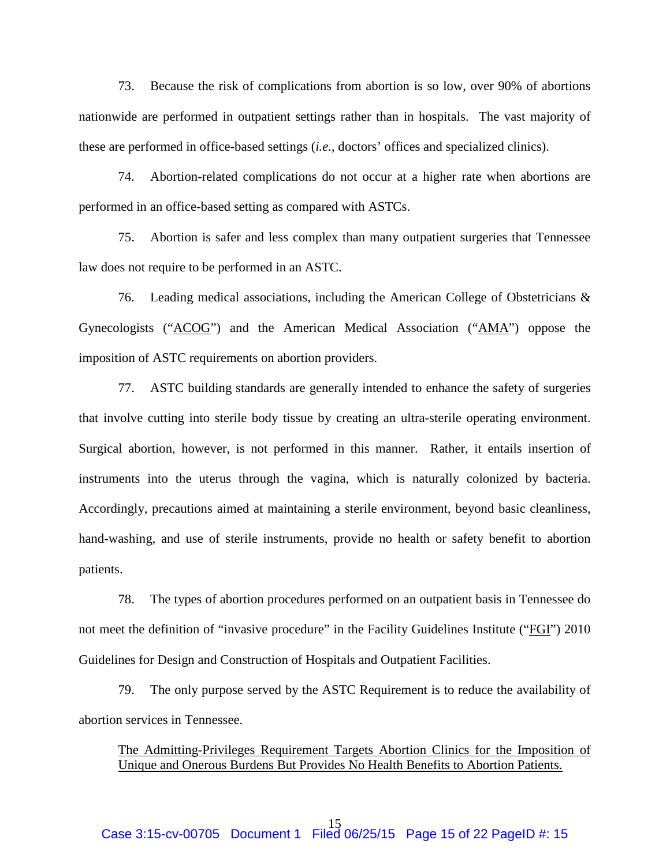73. Because the risk of complications from abortion is so low, over 90% of abortions nationwide are performed in outpatient settings rather than in hospitals. The vast majority of these are performed in office-based settings (*i.e.*, doctors' offices and specialized clinics).

74. Abortion-related complications do not occur at a higher rate when abortions are performed in an office-based setting as compared with ASTCs.

75. Abortion is safer and less complex than many outpatient surgeries that Tennessee law does not require to be performed in an ASTC.

76. Leading medical associations, including the American College of Obstetricians & Gynecologists ("ACOG") and the American Medical Association ("AMA") oppose the imposition of ASTC requirements on abortion providers.

77. ASTC building standards are generally intended to enhance the safety of surgeries that involve cutting into sterile body tissue by creating an ultra-sterile operating environment. Surgical abortion, however, is not performed in this manner. Rather, it entails insertion of instruments into the uterus through the vagina, which is naturally colonized by bacteria. Accordingly, precautions aimed at maintaining a sterile environment, beyond basic cleanliness, hand-washing, and use of sterile instruments, provide no health or safety benefit to abortion patients.

78. The types of abortion procedures performed on an outpatient basis in Tennessee do not meet the definition of "invasive procedure" in the Facility Guidelines Institute ("FGI") 2010 Guidelines for Design and Construction of Hospitals and Outpatient Facilities.

79. The only purpose served by the ASTC Requirement is to reduce the availability of abortion services in Tennessee.

The Admitting-Privileges Requirement Targets Abortion Clinics for the Imposition of Unique and Onerous Burdens But Provides No Health Benefits to Abortion Patients.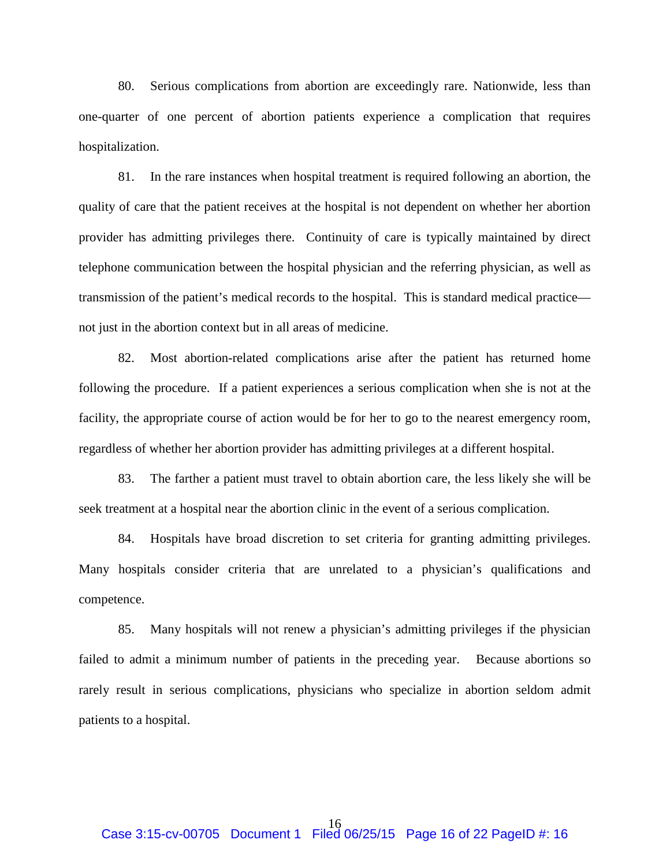80. Serious complications from abortion are exceedingly rare. Nationwide, less than one-quarter of one percent of abortion patients experience a complication that requires hospitalization.

81. In the rare instances when hospital treatment is required following an abortion, the quality of care that the patient receives at the hospital is not dependent on whether her abortion provider has admitting privileges there. Continuity of care is typically maintained by direct telephone communication between the hospital physician and the referring physician, as well as transmission of the patient's medical records to the hospital. This is standard medical practice not just in the abortion context but in all areas of medicine.

82. Most abortion-related complications arise after the patient has returned home following the procedure. If a patient experiences a serious complication when she is not at the facility, the appropriate course of action would be for her to go to the nearest emergency room, regardless of whether her abortion provider has admitting privileges at a different hospital.

83. The farther a patient must travel to obtain abortion care, the less likely she will be seek treatment at a hospital near the abortion clinic in the event of a serious complication.

84. Hospitals have broad discretion to set criteria for granting admitting privileges. Many hospitals consider criteria that are unrelated to a physician's qualifications and competence.

85. Many hospitals will not renew a physician's admitting privileges if the physician failed to admit a minimum number of patients in the preceding year. Because abortions so rarely result in serious complications, physicians who specialize in abortion seldom admit patients to a hospital.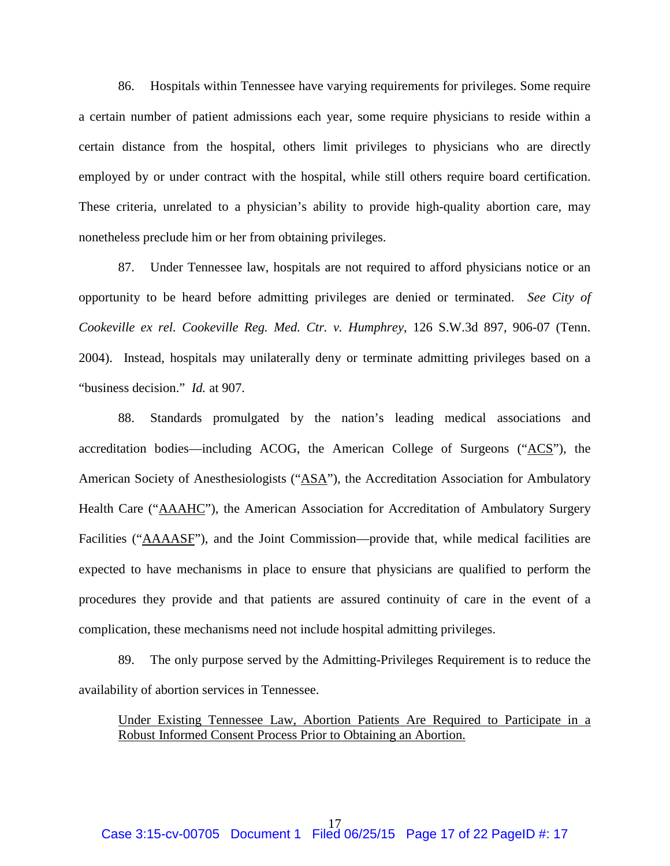86. Hospitals within Tennessee have varying requirements for privileges. Some require a certain number of patient admissions each year, some require physicians to reside within a certain distance from the hospital, others limit privileges to physicians who are directly employed by or under contract with the hospital, while still others require board certification. These criteria, unrelated to a physician's ability to provide high-quality abortion care, may nonetheless preclude him or her from obtaining privileges.

87. Under Tennessee law, hospitals are not required to afford physicians notice or an opportunity to be heard before admitting privileges are denied or terminated. *See City of Cookeville ex rel. Cookeville Reg. Med. Ctr. v. Humphrey*, 126 S.W.3d 897, 906-07 (Tenn. 2004). Instead, hospitals may unilaterally deny or terminate admitting privileges based on a "business decision." *Id.* at 907.

88. Standards promulgated by the nation's leading medical associations and accreditation bodies—including ACOG, the American College of Surgeons ("ACS"), the American Society of Anesthesiologists ("ASA"), the Accreditation Association for Ambulatory Health Care ("AAAHC"), the American Association for Accreditation of Ambulatory Surgery Facilities ("AAAASF"), and the Joint Commission—provide that, while medical facilities are expected to have mechanisms in place to ensure that physicians are qualified to perform the procedures they provide and that patients are assured continuity of care in the event of a complication, these mechanisms need not include hospital admitting privileges.

89. The only purpose served by the Admitting-Privileges Requirement is to reduce the availability of abortion services in Tennessee.

Under Existing Tennessee Law, Abortion Patients Are Required to Participate in a Robust Informed Consent Process Prior to Obtaining an Abortion.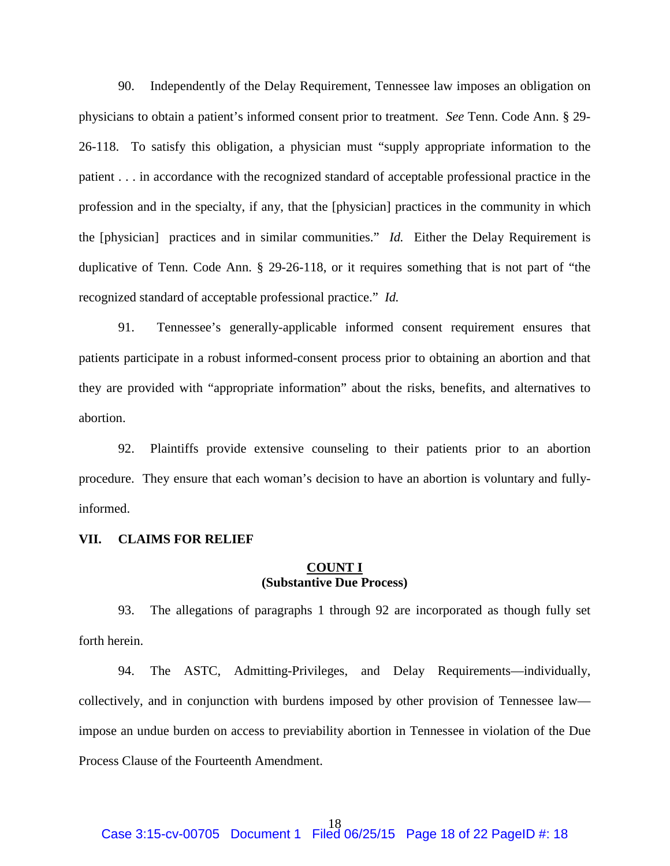90. Independently of the Delay Requirement, Tennessee law imposes an obligation on physicians to obtain a patient's informed consent prior to treatment. *See* Tenn. Code Ann. § 29- 26-118. To satisfy this obligation, a physician must "supply appropriate information to the patient . . . in accordance with the recognized standard of acceptable professional practice in the profession and in the specialty, if any, that the [physician] practices in the community in which the [physician] practices and in similar communities." *Id.* Either the Delay Requirement is duplicative of Tenn. Code Ann. § 29-26-118, or it requires something that is not part of "the recognized standard of acceptable professional practice." *Id.*

91. Tennessee's generally-applicable informed consent requirement ensures that patients participate in a robust informed-consent process prior to obtaining an abortion and that they are provided with "appropriate information" about the risks, benefits, and alternatives to abortion.

92. Plaintiffs provide extensive counseling to their patients prior to an abortion procedure. They ensure that each woman's decision to have an abortion is voluntary and fullyinformed.

#### **VII. CLAIMS FOR RELIEF**

## **COUNT I (Substantive Due Process)**

93. The allegations of paragraphs 1 through 92 are incorporated as though fully set forth herein.

94. The ASTC, Admitting-Privileges, and Delay Requirements—individually, collectively, and in conjunction with burdens imposed by other provision of Tennessee law impose an undue burden on access to previability abortion in Tennessee in violation of the Due Process Clause of the Fourteenth Amendment.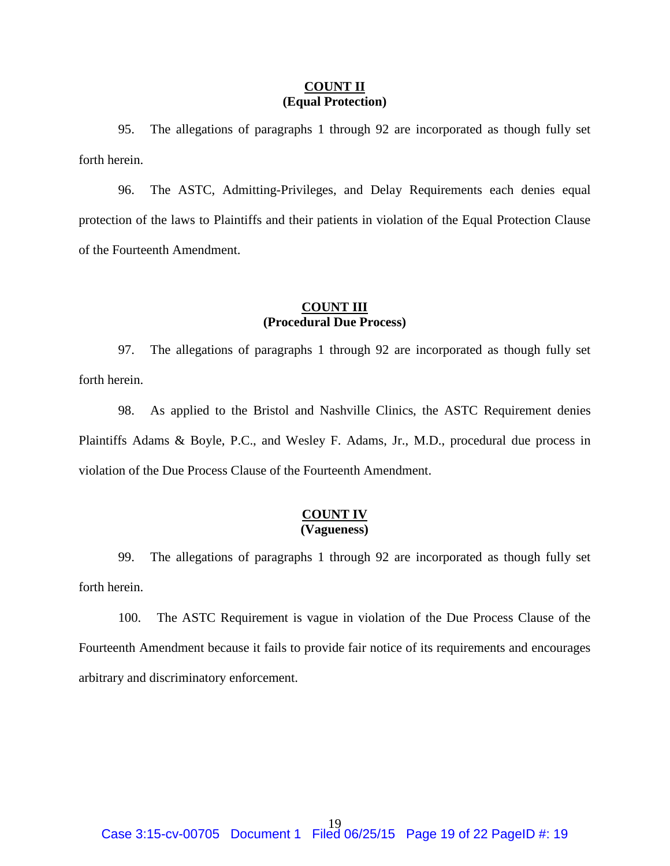## **COUNT II (Equal Protection)**

95. The allegations of paragraphs 1 through 92 are incorporated as though fully set forth herein.

96. The ASTC, Admitting-Privileges, and Delay Requirements each denies equal protection of the laws to Plaintiffs and their patients in violation of the Equal Protection Clause of the Fourteenth Amendment.

## **COUNT III (Procedural Due Process)**

97. The allegations of paragraphs 1 through 92 are incorporated as though fully set forth herein.

98. As applied to the Bristol and Nashville Clinics, the ASTC Requirement denies Plaintiffs Adams & Boyle, P.C., and Wesley F. Adams, Jr., M.D., procedural due process in violation of the Due Process Clause of the Fourteenth Amendment.

## **COUNT IV (Vagueness)**

99. The allegations of paragraphs 1 through 92 are incorporated as though fully set forth herein.

100. The ASTC Requirement is vague in violation of the Due Process Clause of the Fourteenth Amendment because it fails to provide fair notice of its requirements and encourages arbitrary and discriminatory enforcement.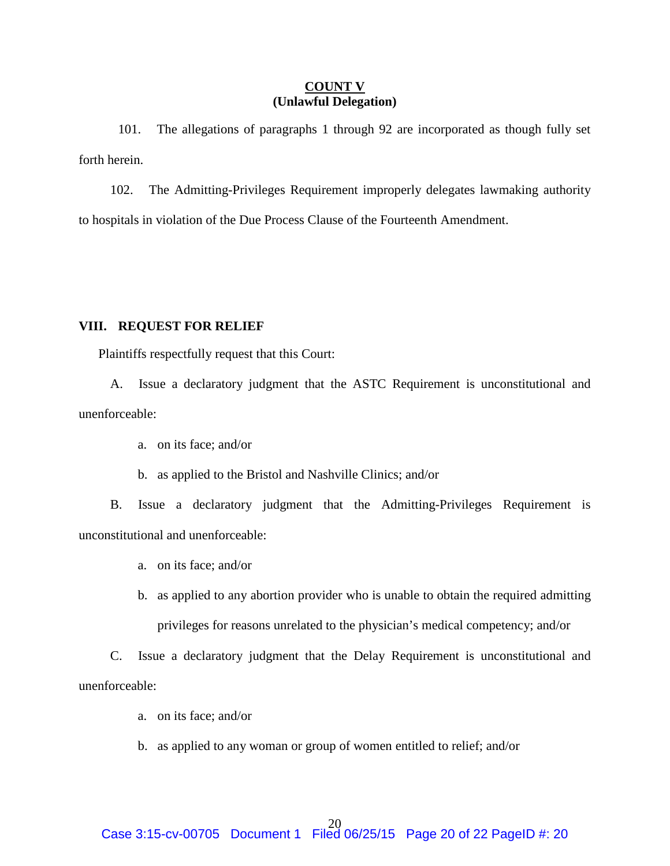### **COUNT V (Unlawful Delegation)**

101. The allegations of paragraphs 1 through 92 are incorporated as though fully set forth herein.

102. The Admitting-Privileges Requirement improperly delegates lawmaking authority to hospitals in violation of the Due Process Clause of the Fourteenth Amendment.

## **VIII. REQUEST FOR RELIEF**

Plaintiffs respectfully request that this Court:

A. Issue a declaratory judgment that the ASTC Requirement is unconstitutional and unenforceable:

- a. on its face; and/or
- b. as applied to the Bristol and Nashville Clinics; and/or

B. Issue a declaratory judgment that the Admitting-Privileges Requirement is unconstitutional and unenforceable:

- a. on its face; and/or
- b. as applied to any abortion provider who is unable to obtain the required admitting privileges for reasons unrelated to the physician's medical competency; and/or

C. Issue a declaratory judgment that the Delay Requirement is unconstitutional and unenforceable:

- a. on its face; and/or
- b. as applied to any woman or group of women entitled to relief; and/or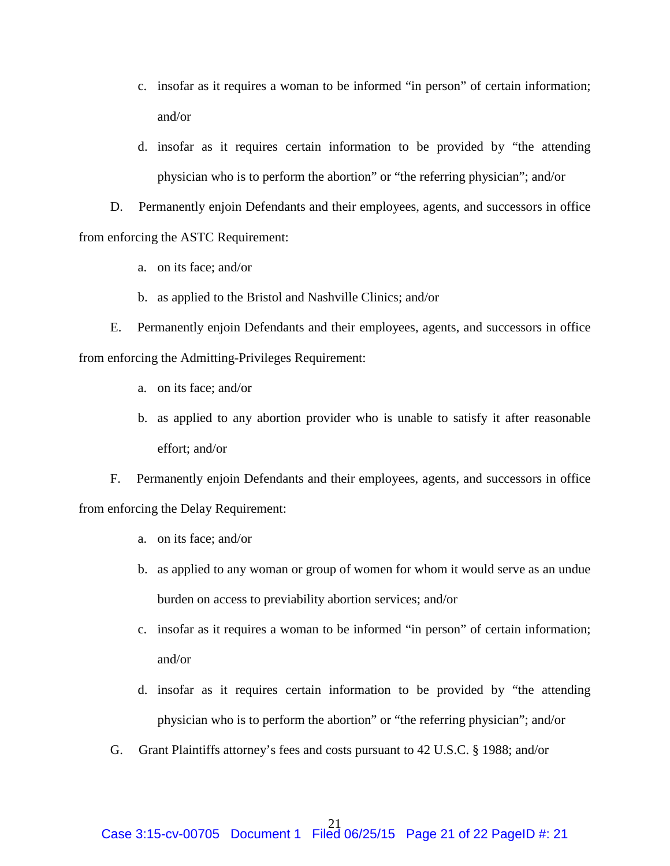- c. insofar as it requires a woman to be informed "in person" of certain information; and/or
- d. insofar as it requires certain information to be provided by "the attending physician who is to perform the abortion" or "the referring physician"; and/or

D. Permanently enjoin Defendants and their employees, agents, and successors in office from enforcing the ASTC Requirement:

- a. on its face; and/or
- b. as applied to the Bristol and Nashville Clinics; and/or

E. Permanently enjoin Defendants and their employees, agents, and successors in office from enforcing the Admitting-Privileges Requirement:

- a. on its face; and/or
- b. as applied to any abortion provider who is unable to satisfy it after reasonable effort; and/or

F. Permanently enjoin Defendants and their employees, agents, and successors in office from enforcing the Delay Requirement:

- a. on its face; and/or
- b. as applied to any woman or group of women for whom it would serve as an undue burden on access to previability abortion services; and/or
- c. insofar as it requires a woman to be informed "in person" of certain information; and/or
- d. insofar as it requires certain information to be provided by "the attending physician who is to perform the abortion" or "the referring physician"; and/or
- G. Grant Plaintiffs attorney's fees and costs pursuant to 42 U.S.C. § 1988; and/or